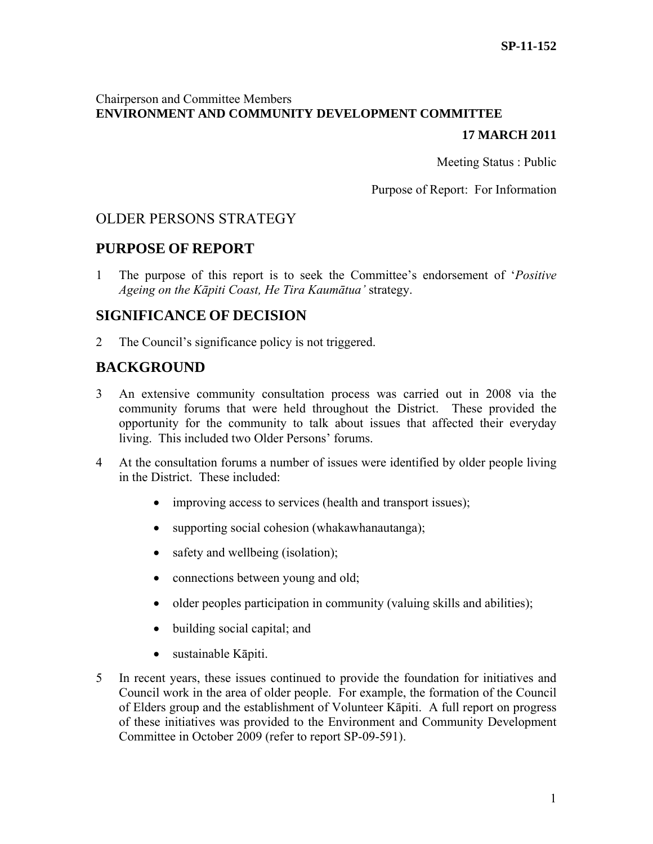# Chairperson and Committee Members **ENVIRONMENT AND COMMUNITY DEVELOPMENT COMMITTEE**

## **17 MARCH 2011**

Meeting Status : Public

Purpose of Report: For Information

# OLDER PERSONS STRATEGY

# **PURPOSE OF REPORT**

1 The purpose of this report is to seek the Committee's endorsement of '*Positive Ageing on the Kāpiti Coast, He Tira Kaumātua'* strategy.

# **SIGNIFICANCE OF DECISION**

2 The Council's significance policy is not triggered.

# **BACKGROUND**

- 3 An extensive community consultation process was carried out in 2008 via the community forums that were held throughout the District. These provided the opportunity for the community to talk about issues that affected their everyday living. This included two Older Persons' forums.
- 4 At the consultation forums a number of issues were identified by older people living in the District. These included:
	- improving access to services (health and transport issues);
	- supporting social cohesion (whakawhanautanga);
	- safety and wellbeing (isolation);
	- connections between young and old;
	- older peoples participation in community (valuing skills and abilities);
	- building social capital; and
	- sustainable Kāpiti.
- 5 In recent years, these issues continued to provide the foundation for initiatives and Council work in the area of older people. For example, the formation of the Council of Elders group and the establishment of Volunteer Kāpiti. A full report on progress of these initiatives was provided to the Environment and Community Development Committee in October 2009 (refer to report SP-09-591).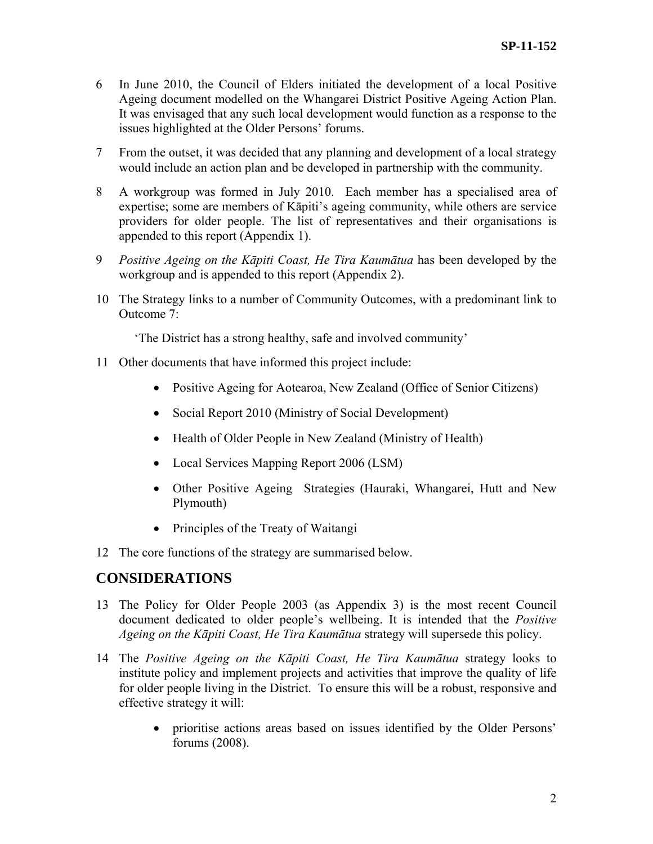- 6 In June 2010, the Council of Elders initiated the development of a local Positive Ageing document modelled on the Whangarei District Positive Ageing Action Plan. It was envisaged that any such local development would function as a response to the issues highlighted at the Older Persons' forums.
- 7 From the outset, it was decided that any planning and development of a local strategy would include an action plan and be developed in partnership with the community.
- 8 A workgroup was formed in July 2010. Each member has a specialised area of expertise; some are members of Kāpiti's ageing community, while others are service providers for older people. The list of representatives and their organisations is appended to this report (Appendix 1).
- 9 *Positive Ageing on the Kāpiti Coast, He Tira Kaumātua* has been developed by the workgroup and is appended to this report (Appendix 2).
- 10 The Strategy links to a number of Community Outcomes, with a predominant link to Outcome 7:

'The District has a strong healthy, safe and involved community'

- 11 Other documents that have informed this project include:
	- Positive Ageing for Aotearoa, New Zealand (Office of Senior Citizens)
	- Social Report 2010 (Ministry of Social Development)
	- Health of Older People in New Zealand (Ministry of Health)
	- Local Services Mapping Report 2006 (LSM)
	- Other Positive Ageing Strategies (Hauraki, Whangarei, Hutt and New Plymouth)
	- Principles of the Treaty of Waitangi
- 12 The core functions of the strategy are summarised below.

# **CONSIDERATIONS**

- 13 The Policy for Older People 2003 (as Appendix 3) is the most recent Council document dedicated to older people's wellbeing. It is intended that the *Positive Ageing on the Kāpiti Coast, He Tira Kaumātua* strategy will supersede this policy.
- 14 The *Positive Ageing on the Kāpiti Coast, He Tira Kaumātua* strategy looks to institute policy and implement projects and activities that improve the quality of life for older people living in the District. To ensure this will be a robust, responsive and effective strategy it will:
	- prioritise actions areas based on issues identified by the Older Persons' forums (2008).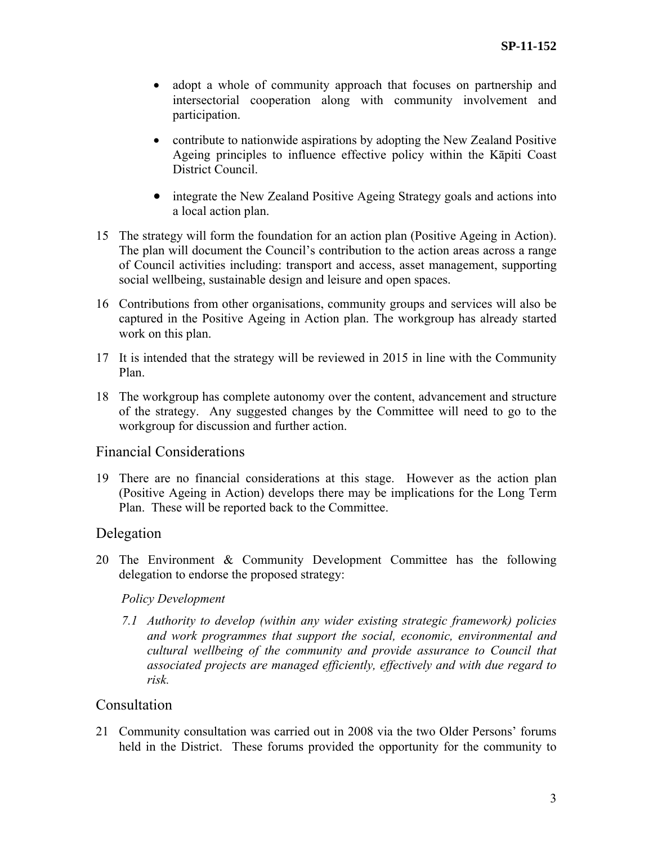- adopt a whole of community approach that focuses on partnership and intersectorial cooperation along with community involvement and participation.
- contribute to nationwide aspirations by adopting the New Zealand Positive Ageing principles to influence effective policy within the Kāpiti Coast District Council.
- integrate the New Zealand Positive Ageing Strategy goals and actions into a local action plan.
- 15 The strategy will form the foundation for an action plan (Positive Ageing in Action). The plan will document the Council's contribution to the action areas across a range of Council activities including: transport and access, asset management, supporting social wellbeing, sustainable design and leisure and open spaces.
- 16 Contributions from other organisations, community groups and services will also be captured in the Positive Ageing in Action plan. The workgroup has already started work on this plan.
- 17 It is intended that the strategy will be reviewed in 2015 in line with the Community Plan.
- 18 The workgroup has complete autonomy over the content, advancement and structure of the strategy. Any suggested changes by the Committee will need to go to the workgroup for discussion and further action.

## Financial Considerations

19 There are no financial considerations at this stage. However as the action plan (Positive Ageing in Action) develops there may be implications for the Long Term Plan. These will be reported back to the Committee.

## Delegation

20 The Environment & Community Development Committee has the following delegation to endorse the proposed strategy:

## *Policy Development*

*7.1 Authority to develop (within any wider existing strategic framework) policies and work programmes that support the social, economic, environmental and cultural wellbeing of the community and provide assurance to Council that associated projects are managed efficiently, effectively and with due regard to risk.* 

## Consultation

21 Community consultation was carried out in 2008 via the two Older Persons' forums held in the District. These forums provided the opportunity for the community to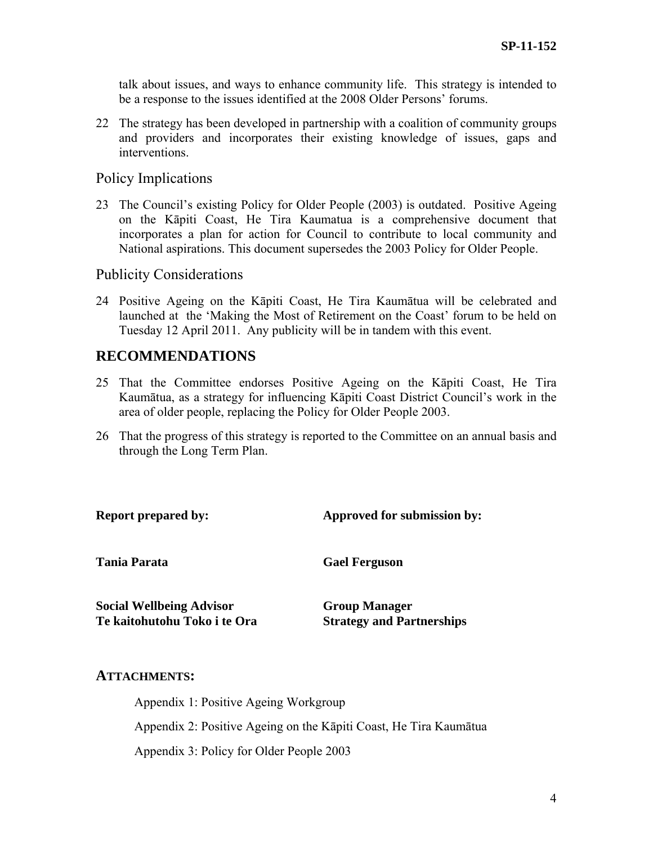talk about issues, and ways to enhance community life. This strategy is intended to be a response to the issues identified at the 2008 Older Persons' forums.

22 The strategy has been developed in partnership with a coalition of community groups and providers and incorporates their existing knowledge of issues, gaps and interventions.

## Policy Implications

23 The Council's existing Policy for Older People (2003) is outdated. Positive Ageing on the Kāpiti Coast, He Tira Kaumatua is a comprehensive document that incorporates a plan for action for Council to contribute to local community and National aspirations. This document supersedes the 2003 Policy for Older People.

## Publicity Considerations

24 Positive Ageing on the Kāpiti Coast, He Tira Kaumātua will be celebrated and launched at the 'Making the Most of Retirement on the Coast' forum to be held on Tuesday 12 April 2011. Any publicity will be in tandem with this event.

# **RECOMMENDATIONS**

- 25 That the Committee endorses Positive Ageing on the Kāpiti Coast, He Tira Kaumātua, as a strategy for influencing Kāpiti Coast District Council's work in the area of older people, replacing the Policy for Older People 2003.
- 26 That the progress of this strategy is reported to the Committee on an annual basis and through the Long Term Plan.

**Report prepared by:** Approved for submission by: **Tania Parata Social Wellbeing Advisor Te kaitohutohu Toko i te Ora Gael Ferguson Group Manager Strategy and Partnerships** 

## **ATTACHMENTS:**

Appendix 1: Positive Ageing Workgroup Appendix 2: Positive Ageing on the Kāpiti Coast, He Tira Kaumātua Appendix 3: Policy for Older People 2003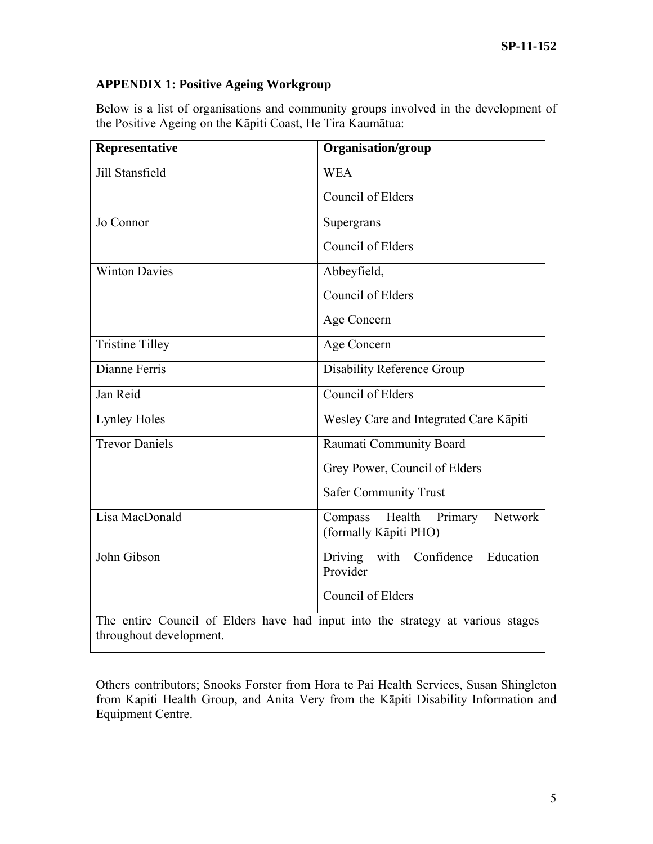# **APPENDIX 1: Positive Ageing Workgroup**

Below is a list of organisations and community groups involved in the development of the Positive Ageing on the Kāpiti Coast, He Tira Kaumātua:

| Representative          | Organisation/group                                                              |
|-------------------------|---------------------------------------------------------------------------------|
| Jill Stansfield         | <b>WEA</b>                                                                      |
|                         | Council of Elders                                                               |
| Jo Connor               | Supergrans                                                                      |
|                         | Council of Elders                                                               |
| <b>Winton Davies</b>    | Abbeyfield,                                                                     |
|                         | Council of Elders                                                               |
|                         | Age Concern                                                                     |
| <b>Tristine Tilley</b>  | Age Concern                                                                     |
| Dianne Ferris           | <b>Disability Reference Group</b>                                               |
| Jan Reid                | Council of Elders                                                               |
| <b>Lynley Holes</b>     | Wesley Care and Integrated Care Kāpiti                                          |
| <b>Trevor Daniels</b>   | Raumati Community Board                                                         |
|                         | Grey Power, Council of Elders                                                   |
|                         | <b>Safer Community Trust</b>                                                    |
| Lisa MacDonald          | Health<br>Network<br>Compass<br>Primary<br>(formally Kāpiti PHO)                |
| John Gibson             | with<br>Education<br>Confidence<br>Driving<br>Provider                          |
|                         | Council of Elders                                                               |
| throughout development. | The entire Council of Elders have had input into the strategy at various stages |

Others contributors; Snooks Forster from Hora te Pai Health Services, Susan Shingleton from Kapiti Health Group, and Anita Very from the Kāpiti Disability Information and Equipment Centre.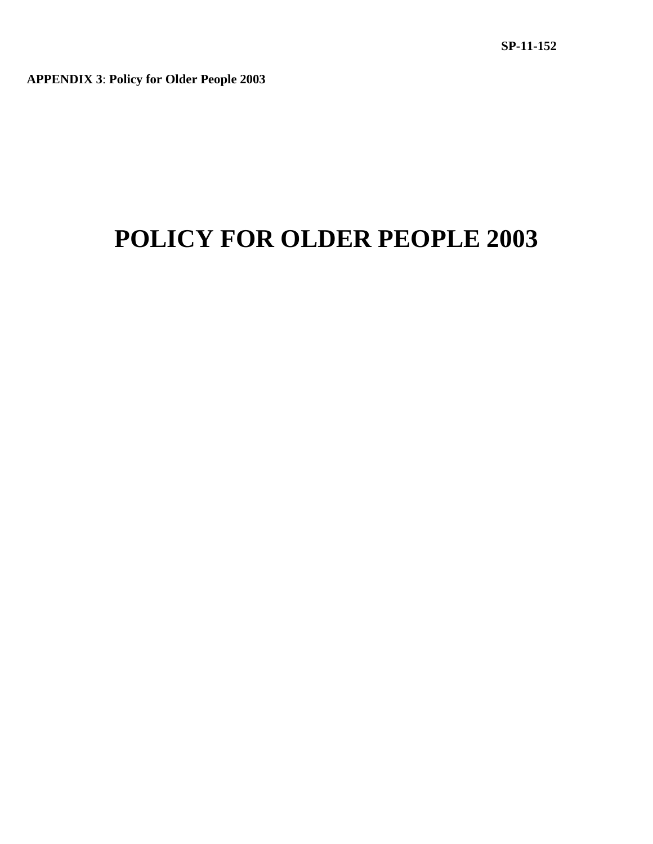**APPENDIX 3**: **Policy for Older People 2003**

# **POLICY FOR OLDER PEOPLE 2003**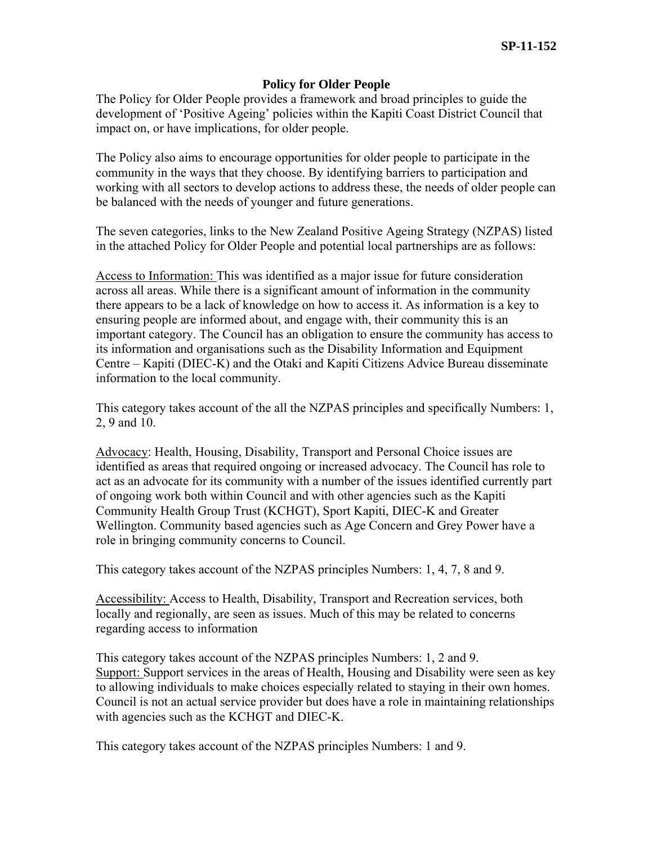### **Policy for Older People**

The Policy for Older People provides a framework and broad principles to guide the development of 'Positive Ageing' policies within the Kapiti Coast District Council that impact on, or have implications, for older people.

The Policy also aims to encourage opportunities for older people to participate in the community in the ways that they choose. By identifying barriers to participation and working with all sectors to develop actions to address these, the needs of older people can be balanced with the needs of younger and future generations.

The seven categories, links to the New Zealand Positive Ageing Strategy (NZPAS) listed in the attached Policy for Older People and potential local partnerships are as follows:

Access to Information: This was identified as a major issue for future consideration across all areas. While there is a significant amount of information in the community there appears to be a lack of knowledge on how to access it. As information is a key to ensuring people are informed about, and engage with, their community this is an important category. The Council has an obligation to ensure the community has access to its information and organisations such as the Disability Information and Equipment Centre – Kapiti (DIEC-K) and the Otaki and Kapiti Citizens Advice Bureau disseminate information to the local community.

This category takes account of the all the NZPAS principles and specifically Numbers: 1, 2, 9 and 10.

Advocacy: Health, Housing, Disability, Transport and Personal Choice issues are identified as areas that required ongoing or increased advocacy. The Council has role to act as an advocate for its community with a number of the issues identified currently part of ongoing work both within Council and with other agencies such as the Kapiti Community Health Group Trust (KCHGT), Sport Kapiti, DIEC-K and Greater Wellington. Community based agencies such as Age Concern and Grey Power have a role in bringing community concerns to Council.

This category takes account of the NZPAS principles Numbers: 1, 4, 7, 8 and 9.

Accessibility: Access to Health, Disability, Transport and Recreation services, both locally and regionally, are seen as issues. Much of this may be related to concerns regarding access to information

This category takes account of the NZPAS principles Numbers: 1, 2 and 9. Support: Support services in the areas of Health, Housing and Disability were seen as key to allowing individuals to make choices especially related to staying in their own homes. Council is not an actual service provider but does have a role in maintaining relationships with agencies such as the KCHGT and DIEC-K.

This category takes account of the NZPAS principles Numbers: 1 and 9.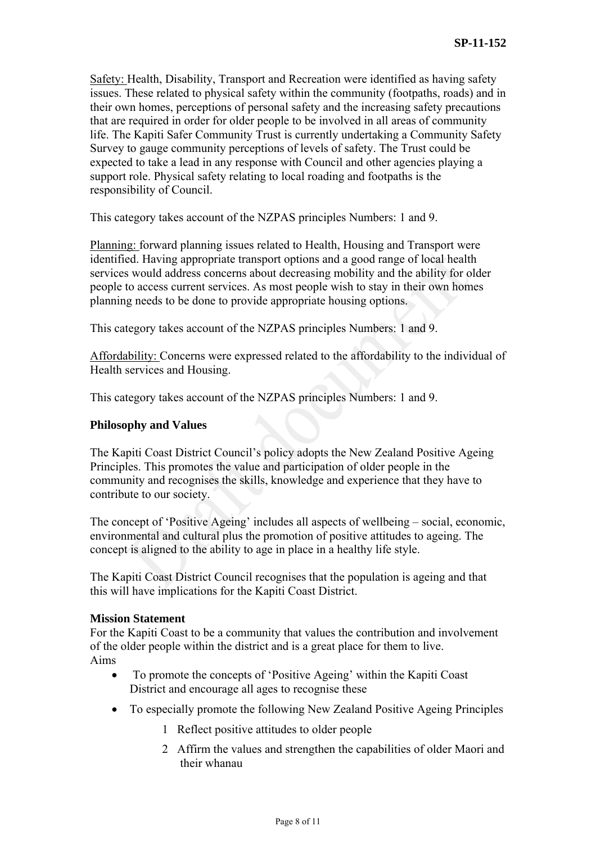Safety: Health, Disability, Transport and Recreation were identified as having safety issues. These related to physical safety within the community (footpaths, roads) and in their own homes, perceptions of personal safety and the increasing safety precautions that are required in order for older people to be involved in all areas of community life. The Kapiti Safer Community Trust is currently undertaking a Community Safety Survey to gauge community perceptions of levels of safety. The Trust could be expected to take a lead in any response with Council and other agencies playing a support role. Physical safety relating to local roading and footpaths is the responsibility of Council.

This category takes account of the NZPAS principles Numbers: 1 and 9.

Planning: forward planning issues related to Health, Housing and Transport were identified. Having appropriate transport options and a good range of local health services would address concerns about decreasing mobility and the ability for older people to access current services. As most people wish to stay in their own homes planning needs to be done to provide appropriate housing options.

This category takes account of the NZPAS principles Numbers: 1 and 9.

Affordability: Concerns were expressed related to the affordability to the individual of Health services and Housing.

This category takes account of the NZPAS principles Numbers: 1 and 9.

### **Philosophy and Values**

The Kapiti Coast District Council's policy adopts the New Zealand Positive Ageing Principles. This promotes the value and participation of older people in the community and recognises the skills, knowledge and experience that they have to contribute to our society.

The concept of 'Positive Ageing' includes all aspects of wellbeing – social, economic, environmental and cultural plus the promotion of positive attitudes to ageing. The concept is aligned to the ability to age in place in a healthy life style.

The Kapiti Coast District Council recognises that the population is ageing and that this will have implications for the Kapiti Coast District.

#### **Mission Statement**

For the Kapiti Coast to be a community that values the contribution and involvement of the older people within the district and is a great place for them to live. Aims

- To promote the concepts of 'Positive Ageing' within the Kapiti Coast District and encourage all ages to recognise these
- To especially promote the following New Zealand Positive Ageing Principles
	- 1 Reflect positive attitudes to older people
	- 2 Affirm the values and strengthen the capabilities of older Maori and their whanau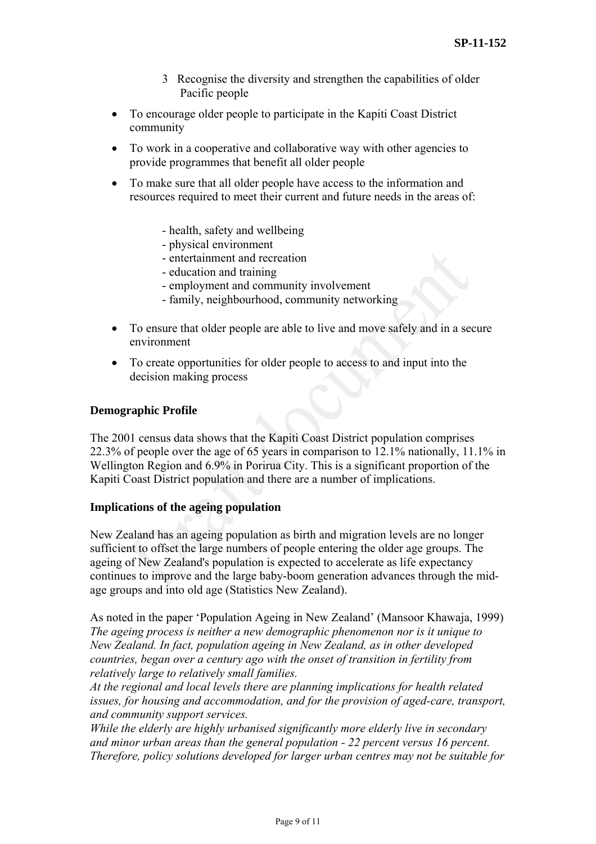- 3 Recognise the diversity and strengthen the capabilities of older Pacific people
- To encourage older people to participate in the Kapiti Coast District community
- To work in a cooperative and collaborative way with other agencies to provide programmes that benefit all older people
- To make sure that all older people have access to the information and resources required to meet their current and future needs in the areas of:
	- health, safety and wellbeing
	- physical environment
	- entertainment and recreation
	- education and training
	- employment and community involvement
	- family, neighbourhood, community networking
- To ensure that older people are able to live and move safely and in a secure environment
- To create opportunities for older people to access to and input into the decision making process

## **Demographic Profile**

The 2001 census data shows that the Kapiti Coast District population comprises 22.3% of people over the age of 65 years in comparison to 12.1% nationally, 11.1% in Wellington Region and 6.9% in Porirua City. This is a significant proportion of the Kapiti Coast District population and there are a number of implications.

#### **Implications of the ageing population**

New Zealand has an ageing population as birth and migration levels are no longer sufficient to offset the large numbers of people entering the older age groups. The ageing of New Zealand's population is expected to accelerate as life expectancy continues to improve and the large baby-boom generation advances through the midage groups and into old age (Statistics New Zealand).

As noted in the paper 'Population Ageing in New Zealand' (Mansoor Khawaja, 1999) *The ageing process is neither a new demographic phenomenon nor is it unique to New Zealand. In fact, population ageing in New Zealand, as in other developed countries, began over a century ago with the onset of transition in fertility from relatively large to relatively small families.* 

*At the regional and local levels there are planning implications for health related issues, for housing and accommodation, and for the provision of aged-care, transport, and community support services.* 

*While the elderly are highly urbanised significantly more elderly live in secondary and minor urban areas than the general population - 22 percent versus 16 percent. Therefore, policy solutions developed for larger urban centres may not be suitable for*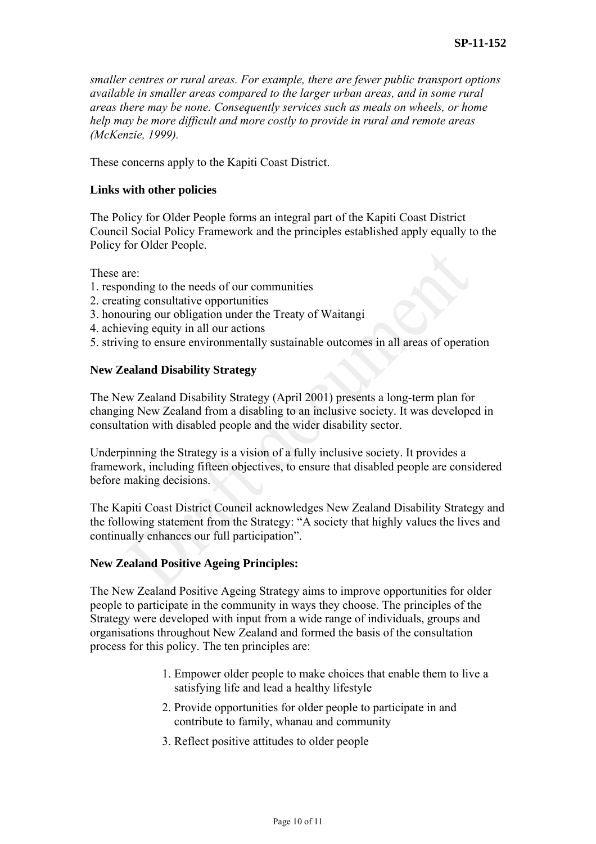*smaller centres or rural areas. For example, there are fewer public transport options available in smaller areas compared to the larger urban areas, and in some rural areas there may be none. Consequently services such as meals on wheels, or home help may be more difficult and more costly to provide in rural and remote areas (McKenzie, 1999).* 

These concerns apply to the Kapiti Coast District.

#### **Links with other policies**

The Policy for Older People forms an integral part of the Kapiti Coast District Council Social Policy Framework and the principles established apply equally to the Policy for Older People.

These are:

- 1. responding to the needs of our communities
- 2. creating consultative opportunities
- 3. honouring our obligation under the Treaty of Waitangi
- 4. achieving equity in all our actions
- 5. striving to ensure environmentally sustainable outcomes in all areas of operation

#### **New Zealand Disability Strategy**

The New Zealand Disability Strategy (April 2001) presents a long-term plan for changing New Zealand from a disabling to an inclusive society. It was developed in consultation with disabled people and the wider disability sector.

Underpinning the Strategy is a vision of a fully inclusive society. It provides a framework, including fifteen objectives, to ensure that disabled people are considered before making decisions.

The Kapiti Coast District Council acknowledges New Zealand Disability Strategy and the following statement from the Strategy: "A society that highly values the lives and continually enhances our full participation".

#### **New Zealand Positive Ageing Principles:**

The New Zealand Positive Ageing Strategy aims to improve opportunities for older people to participate in the community in ways they choose. The principles of the Strategy were developed with input from a wide range of individuals, groups and organisations throughout New Zealand and formed the basis of the consultation process for this policy. The ten principles are:

- 1. Empower older people to make choices that enable them to live a satisfying life and lead a healthy lifestyle
- 2. Provide opportunities for older people to participate in and contribute to family, whanau and community
- 3. Reflect positive attitudes to older people